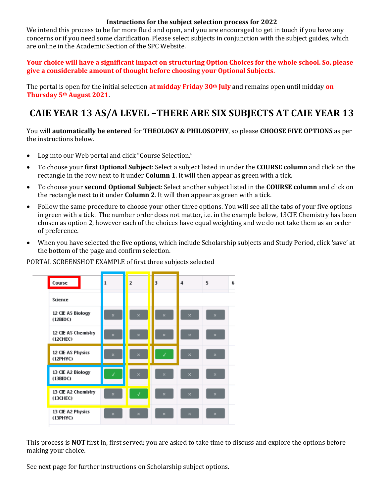## **Instructions for the subject selection process for 2022**

We intend this process to be far more fluid and open, and you are encouraged to get in touch if you have any concerns or if you need some clarification. Please select subjects in conjunction with the subject guides, which are online in the Academic Section of the SPC Website.

**Your choice will have a significant impact on structuring Option Choices for the whole school. So, please give a considerable amount of thought before choosing your Optional Subjects.**

The portal is open for the initial selection **at midday Friday 30th July** and remains open until midday **on Thursday 5th August 2021.** 

## **CAIE YEAR 13 AS/A LEVEL –THERE ARE SIX SUBJECTS AT CAIE YEAR 13**

You will **automatically be entered** for **THEOLOGY & PHILOSOPHY**, so please **CHOOSE FIVE OPTIONS** as per the instructions below.

- Log into our Web portal and click "Course Selection."
- To choose your **first Optional Subject**: Select a subject listed in under the **COURSE column** and click on the rectangle in the row next to it under **Column 1**. It will then appear as green with a tick.
- To choose your **second Optional Subject**: Select another subject listed in the **COURSE column** and click on the rectangle next to it under **Column 2**. It will then appear as green with a tick.
- Follow the same procedure to choose your other three options. You will see all the tabs of your five options in green with a tick. The number order does not matter, i.e. in the example below, 13CIE Chemistry has been chosen as option 2, however each of the choices have equal weighting and we do not take them as an order of preference.
- When you have selected the five options, which include Scholarship subjects and Study Period, click 'save' at the bottom of the page and confirm selection.



PORTAL SCREENSHOT EXAMPLE of first three subjects selected

This process is **NOT** first in, first served; you are asked to take time to discuss and explore the options before making your choice.

See next page for further instructions on Scholarship subject options.